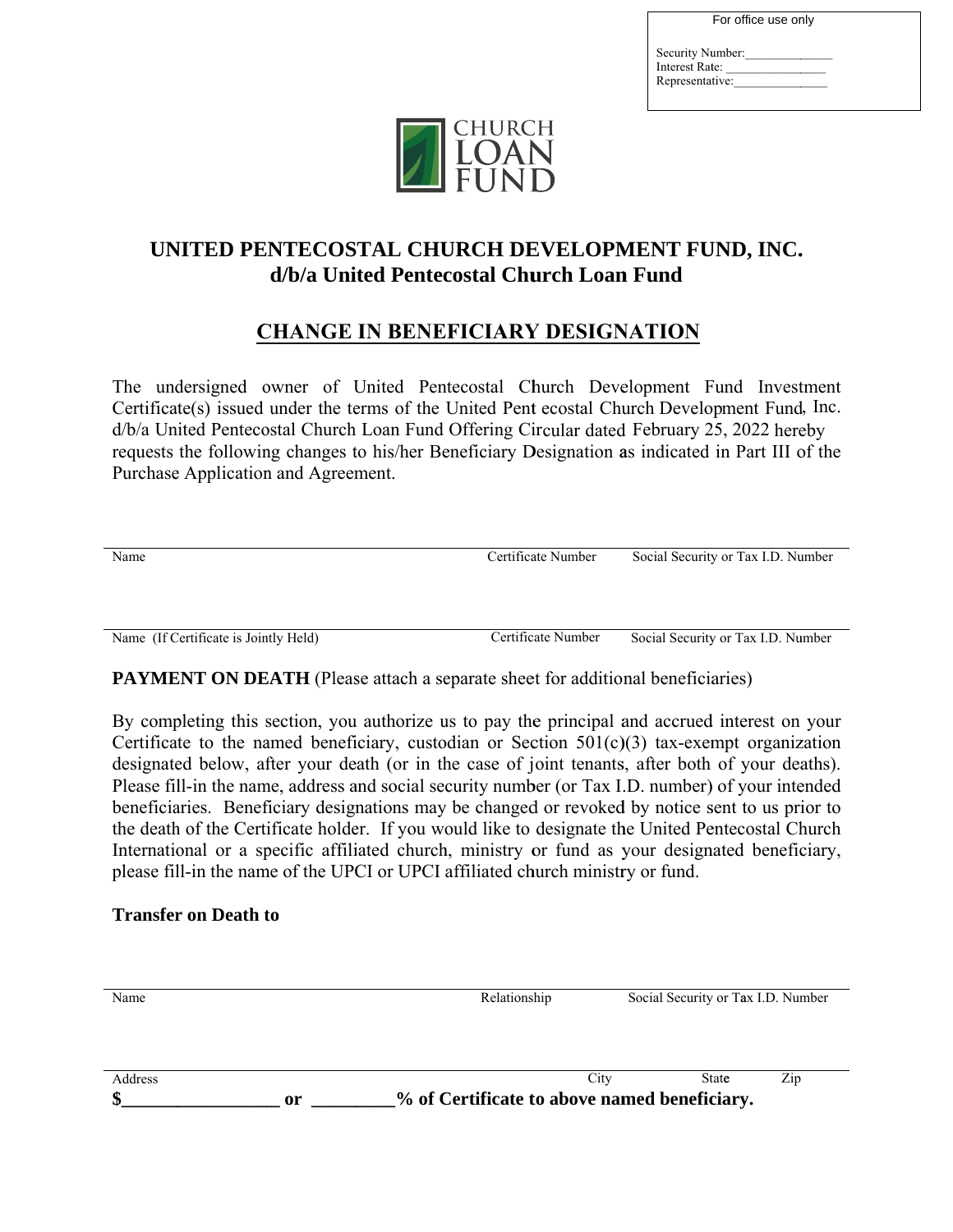| For office use only |  |
|---------------------|--|
| Security Number:    |  |
| Interest Rate:      |  |
| Representative:     |  |
|                     |  |



## UNITED PENTECOSTAL CHURCH DEVELOPMENT FUND, INC. d/b/a United Pentecostal Church Loan Fund

## **CHANGE IN BENEFICIARY DESIGNATION**

The undersigned owner of United Pentecostal Church Development Fund Investment Certificate(s) issued under the terms of the United Pent ecostal Church Development Fund, Inc. d/b/a United Pentecostal Church Loan Fund Offering Circular dated February 25, 2022 hereby requests the following changes to his/her Beneficiary Designation as indicated in Part III of the Purchase Application and Agreement.

| Name                                  | Certificate Number | Social Security or Tax I.D. Number |  |
|---------------------------------------|--------------------|------------------------------------|--|
|                                       |                    |                                    |  |
|                                       |                    |                                    |  |
|                                       |                    |                                    |  |
|                                       |                    |                                    |  |
| Name (If Certificate is Jointly Held) | Certificate Number | Social Security or Tax I.D. Number |  |

**PAYMENT ON DEATH** (Please attach a separate sheet for additional beneficiaries)

By completing this section, you authorize us to pay the principal and accrued interest on your Certificate to the named beneficiary, custodian or Section  $501(c)(3)$  tax-exempt organization designated below, after your death (or in the case of joint tenants, after both of your deaths). Please fill-in the name, address and social security number (or Tax I.D. number) of your intended beneficiaries. Beneficiary designations may be changed or revoked by notice sent to us prior to the death of the Certificate holder. If you would like to designate the United Pentecostal Church International or a specific affiliated church, ministry or fund as your designated beneficiary, please fill-in the name of the UPCI or UPCI affiliated church ministry or fund.

## **Transfer on Death to**

| Name    |    | Relationship                                 |      | Social Security or Tax I.D. Number |     |  |
|---------|----|----------------------------------------------|------|------------------------------------|-----|--|
|         |    |                                              |      |                                    |     |  |
|         |    |                                              |      |                                    |     |  |
| Address |    |                                              | City | State                              | Zip |  |
|         | 0r | % of Certificate to above named beneficiary. |      |                                    |     |  |